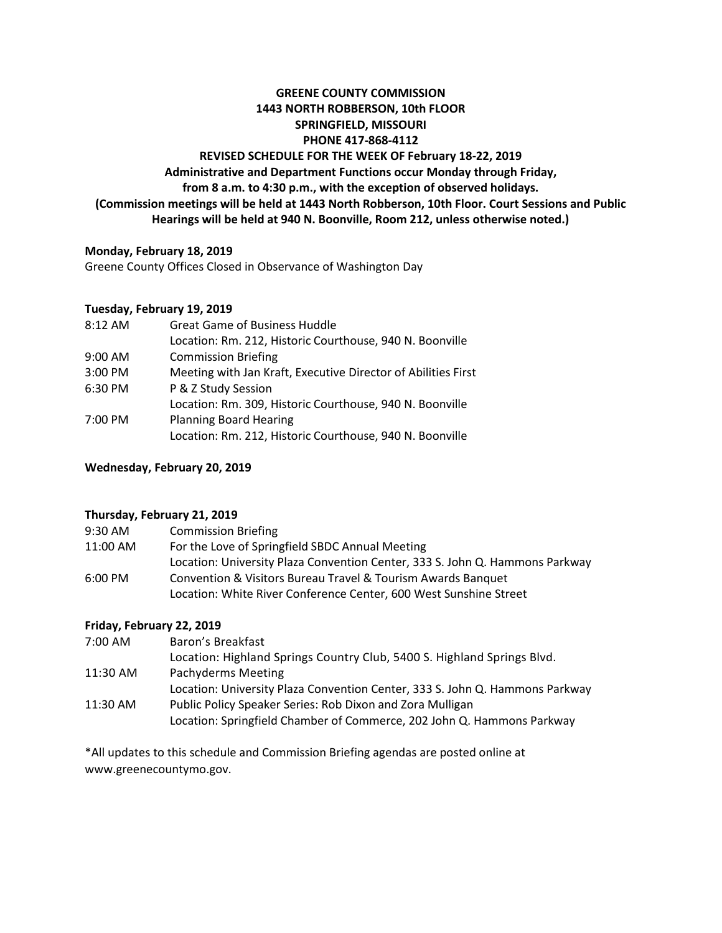# **GREENE COUNTY COMMISSION 1443 NORTH ROBBERSON, 10th FLOOR SPRINGFIELD, MISSOURI PHONE 417-868-4112 REVISED SCHEDULE FOR THE WEEK OF February 18-22, 2019 Administrative and Department Functions occur Monday through Friday, from 8 a.m. to 4:30 p.m., with the exception of observed holidays. (Commission meetings will be held at 1443 North Robberson, 10th Floor. Court Sessions and Public Hearings will be held at 940 N. Boonville, Room 212, unless otherwise noted.)**

## **Monday, February 18, 2019**

Greene County Offices Closed in Observance of Washington Day

## **Tuesday, February 19, 2019**

| 8:12 AM   | <b>Great Game of Business Huddle</b>                          |
|-----------|---------------------------------------------------------------|
|           | Location: Rm. 212, Historic Courthouse, 940 N. Boonville      |
| $9:00$ AM | <b>Commission Briefing</b>                                    |
| 3:00 PM   | Meeting with Jan Kraft, Executive Director of Abilities First |
| 6:30 PM   | P & Z Study Session                                           |
|           | Location: Rm. 309, Historic Courthouse, 940 N. Boonville      |
| 7:00 PM   | <b>Planning Board Hearing</b>                                 |
|           | Location: Rm. 212, Historic Courthouse, 940 N. Boonville      |

## **Wednesday, February 20, 2019**

## **Thursday, February 21, 2019**

| 9:30 AM  | <b>Commission Briefing</b>                                                   |
|----------|------------------------------------------------------------------------------|
| 11:00 AM | For the Love of Springfield SBDC Annual Meeting                              |
|          | Location: University Plaza Convention Center, 333 S. John Q. Hammons Parkway |
| 6:00 PM  | Convention & Visitors Bureau Travel & Tourism Awards Banquet                 |
|          | Location: White River Conference Center, 600 West Sunshine Street            |

## **Friday, February 22, 2019**

| Location: University Plaza Convention Center, 333 S. John Q. Hammons Parkway |
|------------------------------------------------------------------------------|
|                                                                              |
| Location: Springfield Chamber of Commerce, 202 John Q. Hammons Parkway       |
|                                                                              |

\*All updates to this schedule and Commission Briefing agendas are posted online at www.greenecountymo.gov.